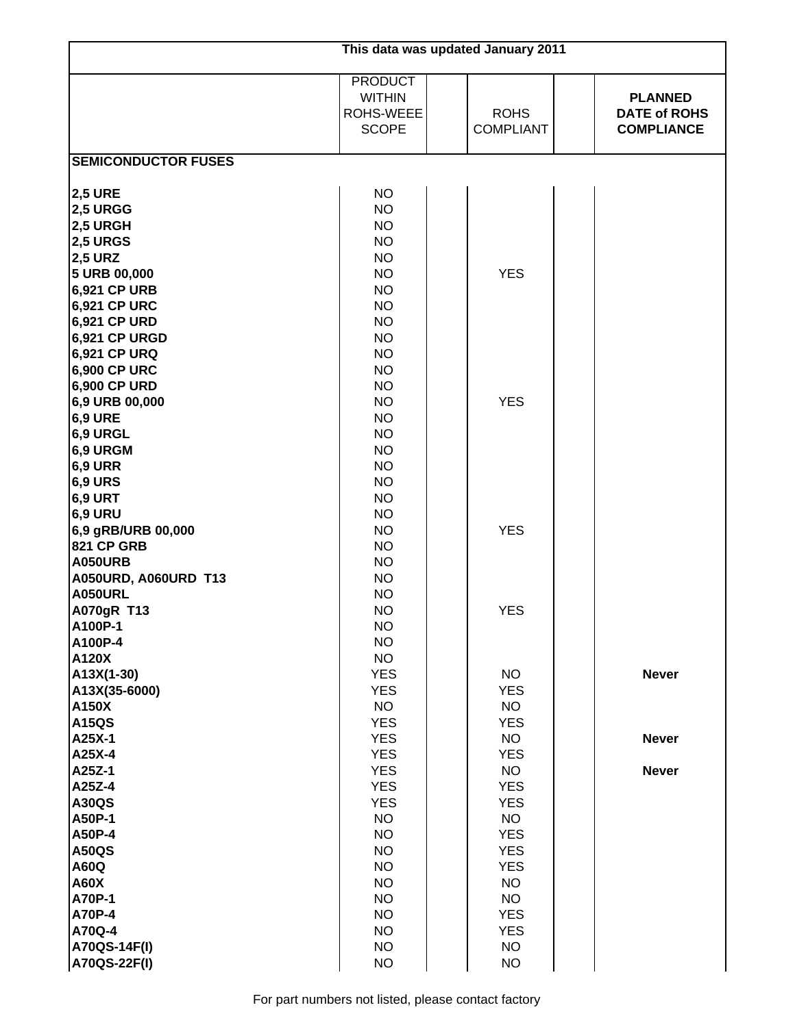| This data was updated January 2011 |                                                              |  |                                 |  |                                                            |  |  |
|------------------------------------|--------------------------------------------------------------|--|---------------------------------|--|------------------------------------------------------------|--|--|
|                                    | <b>PRODUCT</b><br><b>WITHIN</b><br>ROHS-WEEE<br><b>SCOPE</b> |  | <b>ROHS</b><br><b>COMPLIANT</b> |  | <b>PLANNED</b><br><b>DATE of ROHS</b><br><b>COMPLIANCE</b> |  |  |
| <b>SEMICONDUCTOR FUSES</b>         |                                                              |  |                                 |  |                                                            |  |  |
| <b>2,5 URE</b>                     | <b>NO</b>                                                    |  |                                 |  |                                                            |  |  |
| <b>2,5 URGG</b>                    | <b>NO</b>                                                    |  |                                 |  |                                                            |  |  |
| <b>2,5 URGH</b>                    | <b>NO</b>                                                    |  |                                 |  |                                                            |  |  |
| <b>2,5 URGS</b>                    | <b>NO</b>                                                    |  |                                 |  |                                                            |  |  |
| <b>2,5 URZ</b>                     | <b>NO</b>                                                    |  |                                 |  |                                                            |  |  |
| 5 URB 00,000                       | <b>NO</b>                                                    |  | <b>YES</b>                      |  |                                                            |  |  |
| 6,921 CP URB                       | <b>NO</b>                                                    |  |                                 |  |                                                            |  |  |
| 6,921 CP URC                       | <b>NO</b>                                                    |  |                                 |  |                                                            |  |  |
| 6,921 CP URD                       | <b>NO</b>                                                    |  |                                 |  |                                                            |  |  |
| 6,921 CP URGD                      | <b>NO</b>                                                    |  |                                 |  |                                                            |  |  |
| 6,921 CP URQ                       | <b>NO</b>                                                    |  |                                 |  |                                                            |  |  |
| 6,900 CP URC                       | <b>NO</b>                                                    |  |                                 |  |                                                            |  |  |
| 6,900 CP URD                       | <b>NO</b>                                                    |  |                                 |  |                                                            |  |  |
| 6,9 URB 00,000                     | <b>NO</b>                                                    |  | <b>YES</b>                      |  |                                                            |  |  |
| <b>6,9 URE</b>                     | <b>NO</b>                                                    |  |                                 |  |                                                            |  |  |
| 6,9 URGL                           | <b>NO</b>                                                    |  |                                 |  |                                                            |  |  |
| 6,9 URGM                           | <b>NO</b>                                                    |  |                                 |  |                                                            |  |  |
| <b>6,9 URR</b>                     | <b>NO</b>                                                    |  |                                 |  |                                                            |  |  |
| <b>6,9 URS</b>                     | <b>NO</b>                                                    |  |                                 |  |                                                            |  |  |
| 6,9 URT                            | <b>NO</b>                                                    |  |                                 |  |                                                            |  |  |
| <b>6,9 URU</b>                     | <b>NO</b>                                                    |  |                                 |  |                                                            |  |  |
| 6,9 gRB/URB 00,000                 | <b>NO</b>                                                    |  | <b>YES</b>                      |  |                                                            |  |  |
| <b>821 CP GRB</b>                  | <b>NO</b>                                                    |  |                                 |  |                                                            |  |  |
| <b>A050URB</b>                     | <b>NO</b>                                                    |  |                                 |  |                                                            |  |  |
| A050URD, A060URD T13               | <b>NO</b>                                                    |  |                                 |  |                                                            |  |  |
| <b>A050URL</b>                     | <b>NO</b>                                                    |  |                                 |  |                                                            |  |  |
| A070gR T13                         | <b>NO</b>                                                    |  | <b>YES</b>                      |  |                                                            |  |  |
| A100P-1<br>A100P-4                 | <b>NO</b>                                                    |  |                                 |  |                                                            |  |  |
| A120X                              | <b>NO</b><br><b>NO</b>                                       |  |                                 |  |                                                            |  |  |
| A13X(1-30)                         | <b>YES</b>                                                   |  | <b>NO</b>                       |  | <b>Never</b>                                               |  |  |
| A13X(35-6000)                      | <b>YES</b>                                                   |  | <b>YES</b>                      |  |                                                            |  |  |
| A150X                              | <b>NO</b>                                                    |  | <b>NO</b>                       |  |                                                            |  |  |
| <b>A15QS</b>                       | <b>YES</b>                                                   |  | <b>YES</b>                      |  |                                                            |  |  |
| A25X-1                             | <b>YES</b>                                                   |  | <b>NO</b>                       |  | <b>Never</b>                                               |  |  |
| A25X-4                             | <b>YES</b>                                                   |  | <b>YES</b>                      |  |                                                            |  |  |
| A25Z-1                             | <b>YES</b>                                                   |  | <b>NO</b>                       |  | <b>Never</b>                                               |  |  |
| A25Z-4                             | <b>YES</b>                                                   |  | <b>YES</b>                      |  |                                                            |  |  |
| <b>A30QS</b>                       | <b>YES</b>                                                   |  | <b>YES</b>                      |  |                                                            |  |  |
| A50P-1                             | <b>NO</b>                                                    |  | <b>NO</b>                       |  |                                                            |  |  |
| A50P-4                             | <b>NO</b>                                                    |  | <b>YES</b>                      |  |                                                            |  |  |
| <b>A50QS</b>                       | <b>NO</b>                                                    |  | <b>YES</b>                      |  |                                                            |  |  |
| A60Q                               | <b>NO</b>                                                    |  | <b>YES</b>                      |  |                                                            |  |  |
| <b>A60X</b>                        | <b>NO</b>                                                    |  | <b>NO</b>                       |  |                                                            |  |  |
| A70P-1                             | <b>NO</b>                                                    |  | <b>NO</b>                       |  |                                                            |  |  |
| A70P-4                             | <b>NO</b>                                                    |  | <b>YES</b>                      |  |                                                            |  |  |
| A70Q-4                             | <b>NO</b>                                                    |  | <b>YES</b>                      |  |                                                            |  |  |
| A70QS-14F(I)                       | <b>NO</b>                                                    |  | <b>NO</b>                       |  |                                                            |  |  |
| A70QS-22F(I)                       | <b>NO</b>                                                    |  | <b>NO</b>                       |  |                                                            |  |  |